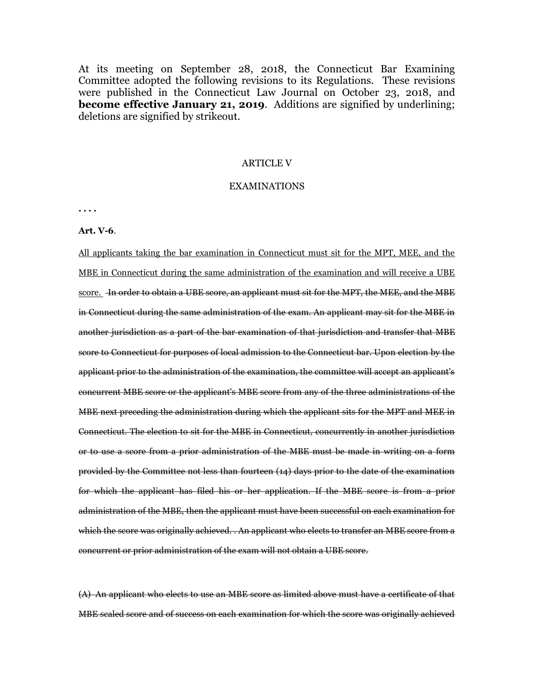At its meeting on September 28, 2018, the Connecticut Bar Examining Committee adopted the following revisions to its Regulations. These revisions were published in the Connecticut Law Journal on October 23, 2018, and **become effective January 21, 2019**. Additions are signified by underlining; deletions are signified by strikeout.

## ARTICLE V

### EXAMINATIONS

**. . . .** 

**Art. V-6**.

All applicants taking the bar examination in Connecticut must sit for the MPT, MEE, and the MBE in Connecticut during the same administration of the examination and will receive a UBE score. In order to obtain a UBE score, an applicant must sit for the MPT, the MEE, and the MBE in Connecticut during the same administration of the exam. An applicant may sit for the MBE in another jurisdiction as a part of the bar examination of that jurisdiction and transfer that MBE score to Connecticut for purposes of local admission to the Connecticut bar. Upon election by the applicant prior to the administration of the examination, the committee will accept an applicant's concurrent MBE score or the applicant's MBE score from any of the three administrations of the MBE next preceding the administration during which the applicant sits for the MPT and MEE in Connecticut. The election to sit for the MBE in Connecticut, concurrently in another jurisdiction or to use a score from a prior administration of the MBE must be made in writing on a form provided by the Committee not less than fourteen (14) days prior to the date of the examination for which the applicant has filed his or her application. If the MBE score is from a prior administration of the MBE, then the applicant must have been successful on each examination for which the score was originally achieved. . An applicant who elects to transfer an MBE score from a concurrent or prior administration of the exam will not obtain a UBE score.

(A) An applicant who elects to use an MBE score as limited above must have a certificate of that MBE scaled score and of success on each examination for which the score was originally achieved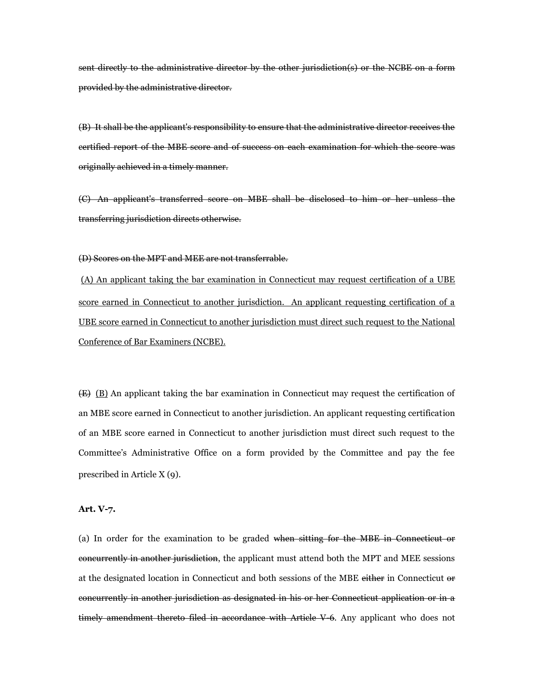sent directly to the administrative director by the other jurisdiction(s) or the NCBE on a form provided by the administrative director.

(B) It shall be the applicant's responsibility to ensure that the administrative director receives the certified report of the MBE score and of success on each examination for which the score was originally achieved in a timely manner.

(C) An applicant's transferred score on MBE shall be disclosed to him or her unless the transferring jurisdiction directs otherwise.

(D) Scores on the MPT and MEE are not transferrable.

(A) An applicant taking the bar examination in Connecticut may request certification of a UBE score earned in Connecticut to another jurisdiction. An applicant requesting certification of a UBE score earned in Connecticut to another jurisdiction must direct such request to the National Conference of Bar Examiners (NCBE).

(E) (B) An applicant taking the bar examination in Connecticut may request the certification of an MBE score earned in Connecticut to another jurisdiction. An applicant requesting certification of an MBE score earned in Connecticut to another jurisdiction must direct such request to the Committee's Administrative Office on a form provided by the Committee and pay the fee prescribed in Article X (9).

## **Art. V-7.**

(a) In order for the examination to be graded when sitting for the MBE in Connecticut or concurrently in another jurisdiction, the applicant must attend both the MPT and MEE sessions at the designated location in Connecticut and both sessions of the MBE either in Connecticut or concurrently in another jurisdiction as designated in his or her Connecticut application or in a  $t$  timely amendment thereto filed in accordance with Article V-6. Any applicant who does not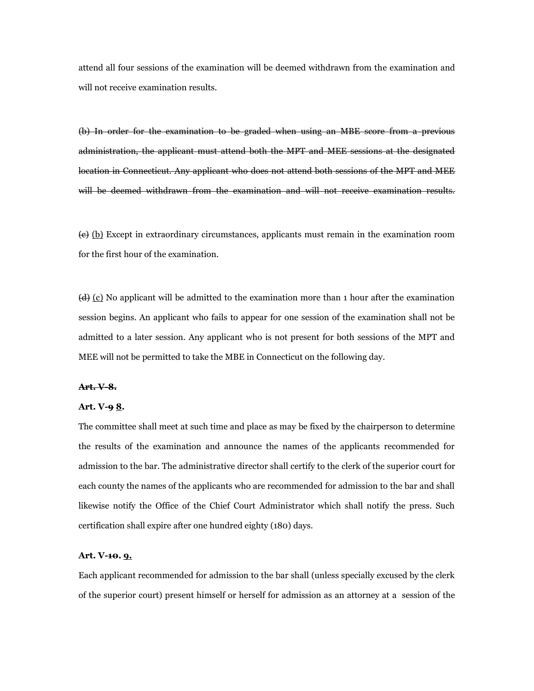attend all four sessions of the examination will be deemed withdrawn from the examination and will not receive examination results.

(b) In order for the examination to be graded when using an MBE score from a previous administration, the applicant must attend both the MPT and MEE sessions at the designated location in Connecticut. Any applicant who does not attend both sessions of the MPT and MEE will be deemed withdrawn from the examination and will not receive examination results.

 $\left(\frac{e}{c}\right)$  Except in extraordinary circumstances, applicants must remain in the examination room for the first hour of the examination.

 $\left(\frac{d}{dx}\right)$  (c) No applicant will be admitted to the examination more than 1 hour after the examination session begins. An applicant who fails to appear for one session of the examination shall not be admitted to a later session. Any applicant who is not present for both sessions of the MPT and MEE will not be permitted to take the MBE in Connecticut on the following day.

#### **Art. V-8.**

### **Art. V-9 8.**

The committee shall meet at such time and place as may be fixed by the chairperson to determine the results of the examination and announce the names of the applicants recommended for admission to the bar. The administrative director shall certify to the clerk of the superior court for each county the names of the applicants who are recommended for admission to the bar and shall likewise notify the Office of the Chief Court Administrator which shall notify the press. Such certification shall expire after one hundred eighty (180) days.

# **Art. V-10. 9.**

Each applicant recommended for admission to the bar shall (unless specially excused by the clerk of the superior court) present himself or herself for admission as an attorney at a session of the